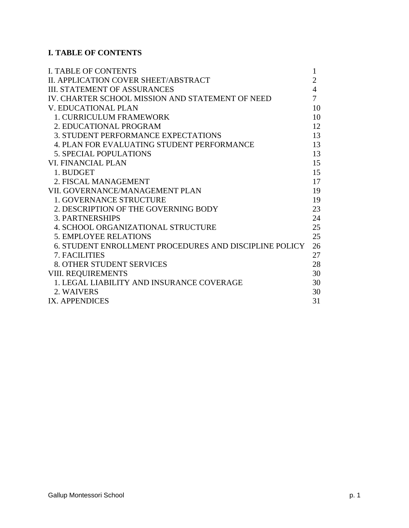# **I. TABLE OF CONTENTS**

| <b>I. TABLE OF CONTENTS</b>                            | $\mathbf{1}$   |
|--------------------------------------------------------|----------------|
| II. APPLICATION COVER SHEET/ABSTRACT                   | $\overline{2}$ |
| <b>III. STATEMENT OF ASSURANCES</b>                    | $\overline{4}$ |
| IV. CHARTER SCHOOL MISSION AND STATEMENT OF NEED       | 7              |
| <b>V. EDUCATIONAL PLAN</b>                             | 10             |
| <b>1. CURRICULUM FRAMEWORK</b>                         | 10             |
| 2. EDUCATIONAL PROGRAM                                 | 12             |
| <b>3. STUDENT PERFORMANCE EXPECTATIONS</b>             | 13             |
| <b>4. PLAN FOR EVALUATING STUDENT PERFORMANCE</b>      | 13             |
| <b>5. SPECIAL POPULATIONS</b>                          | 13             |
| VI. FINANCIAL PLAN                                     | 15             |
| 1. BUDGET                                              | 15             |
| 2. FISCAL MANAGEMENT                                   | 17             |
| VII. GOVERNANCE/MANAGEMENT PLAN                        | 19             |
| <b>1. GOVERNANCE STRUCTURE</b>                         | 19             |
| 2. DESCRIPTION OF THE GOVERNING BODY                   | 23             |
| <b>3. PARTNERSHIPS</b>                                 | 24             |
| 4. SCHOOL ORGANIZATIONAL STRUCTURE                     | 25             |
| <b>5. EMPLOYEE RELATIONS</b>                           | 25             |
| 6. STUDENT ENROLLMENT PROCEDURES AND DISCIPLINE POLICY | 26             |
| 7. FACILITIES                                          | 27             |
| <b>8. OTHER STUDENT SERVICES</b>                       | 28             |
| <b>VIII. REQUIREMENTS</b>                              | 30             |
| 1. LEGAL LIABILITY AND INSURANCE COVERAGE              | 30             |
| 2. WAIVERS                                             | 30             |
| IX. APPENDICES                                         | 31             |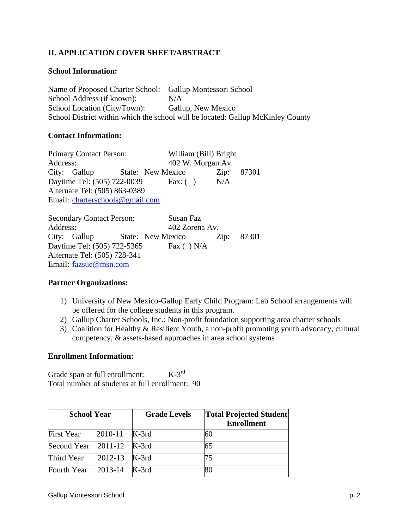## **II. APPLICATION COVER SHEET/ABSTRACT**

#### **School Information:**

Name of Proposed Charter School: Gallup Montessori School School Address (if known): N/A School Location (City/Town): Gallup, New Mexico School District within which the school will be located: Gallup McKinley County

#### **Contact Information:**

Primary Contact Person: William (Bill) Bright Address: 402 W. Morgan Av. City: Gallup State: New Mexico Zip: 87301 Daytime Tel: (505) 722-0039 Fax: ( ) N/A Alternate Tel: (505) 863-0389 Email: charterschools@gmail.com

Secondary Contact Person: Susan Faz Address: 402 Zorena Av. City: Gallup State: New Mexico Zip: 87301 Daytime Tel: (505) 722-5365 Fax ( ) N/A Alternate Tel: (505) 728-341 Email: fazsue@msn.com

#### **Partner Organizations:**

- 1) University of New Mexico-Gallup Early Child Program: Lab School arrangements will be offered for the college students in this program.
- 2) Gallup Charter Schools, Inc.: Non-profit foundation supporting area charter schools
- 3) Coalition for Healthy & Resilient Youth, a non-profit promoting youth advocacy, cultural competency, & assets-based approaches in area school systems

#### **Enrollment Information:**

Grade span at full enrollment:  $K-3^{rd}$ Total number of students at full enrollment: 90

| <b>School Year</b>        | <b>Grade Levels</b> | <b>Total Projected Student</b><br><b>Enrollment</b> |
|---------------------------|---------------------|-----------------------------------------------------|
| First Year $2010-11$      | K-3rd               | 60                                                  |
| Second Year 2011-12 K-3rd |                     | 65                                                  |
| Third Year 2012-13 K-3rd  |                     | 75                                                  |
| Fourth Year 2013-14       | K-3rd               |                                                     |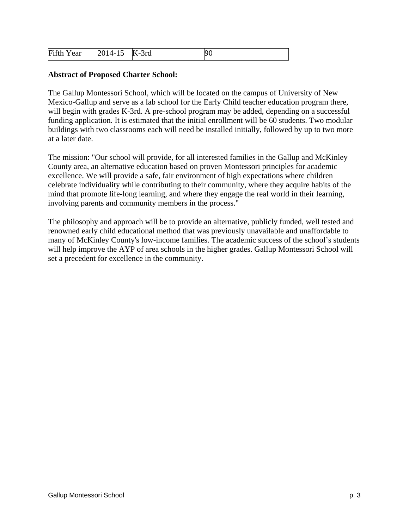| Fifth Year<br>2014-15 K-3rd<br><b>90</b> |  |  |  |
|------------------------------------------|--|--|--|
|------------------------------------------|--|--|--|

#### **Abstract of Proposed Charter School:**

The Gallup Montessori School, which will be located on the campus of University of New Mexico-Gallup and serve as a lab school for the Early Child teacher education program there, will begin with grades K-3rd. A pre-school program may be added, depending on a successful funding application. It is estimated that the initial enrollment will be 60 students. Two modular buildings with two classrooms each will need be installed initially, followed by up to two more at a later date.

The mission: "Our school will provide, for all interested families in the Gallup and McKinley County area, an alternative education based on proven Montessori principles for academic excellence. We will provide a safe, fair environment of high expectations where children celebrate individuality while contributing to their community, where they acquire habits of the mind that promote life-long learning, and where they engage the real world in their learning, involving parents and community members in the process."

The philosophy and approach will be to provide an alternative, publicly funded, well tested and renowned early child educational method that was previously unavailable and unaffordable to many of McKinley County's low-income families. The academic success of the school's students will help improve the AYP of area schools in the higher grades. Gallup Montessori School will set a precedent for excellence in the community.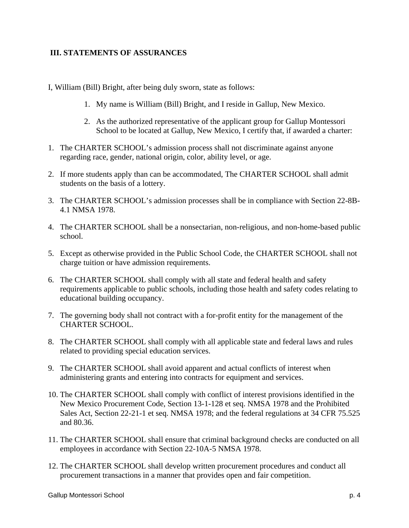### **III. STATEMENTS OF ASSURANCES**

- I, William (Bill) Bright, after being duly sworn, state as follows:
	- 1. My name is William (Bill) Bright, and I reside in Gallup, New Mexico.
	- 2. As the authorized representative of the applicant group for Gallup Montessori School to be located at Gallup, New Mexico, I certify that, if awarded a charter:
- 1. The CHARTER SCHOOL's admission process shall not discriminate against anyone regarding race, gender, national origin, color, ability level, or age.
- 2. If more students apply than can be accommodated, The CHARTER SCHOOL shall admit students on the basis of a lottery.
- 3. The CHARTER SCHOOL's admission processes shall be in compliance with Section 22-8B-4.1 NMSA 1978.
- 4. The CHARTER SCHOOL shall be a nonsectarian, non-religious, and non-home-based public school.
- 5. Except as otherwise provided in the Public School Code, the CHARTER SCHOOL shall not charge tuition or have admission requirements.
- 6. The CHARTER SCHOOL shall comply with all state and federal health and safety requirements applicable to public schools, including those health and safety codes relating to educational building occupancy.
- 7. The governing body shall not contract with a for-profit entity for the management of the CHARTER SCHOOL.
- 8. The CHARTER SCHOOL shall comply with all applicable state and federal laws and rules related to providing special education services.
- 9. The CHARTER SCHOOL shall avoid apparent and actual conflicts of interest when administering grants and entering into contracts for equipment and services.
- 10. The CHARTER SCHOOL shall comply with conflict of interest provisions identified in the New Mexico Procurement Code, Section 13-1-128 et seq. NMSA 1978 and the Prohibited Sales Act, Section 22-21-1 et seq. NMSA 1978; and the federal regulations at 34 CFR 75.525 and 80.36.
- 11. The CHARTER SCHOOL shall ensure that criminal background checks are conducted on all employees in accordance with Section 22-10A-5 NMSA 1978.
- 12. The CHARTER SCHOOL shall develop written procurement procedures and conduct all procurement transactions in a manner that provides open and fair competition.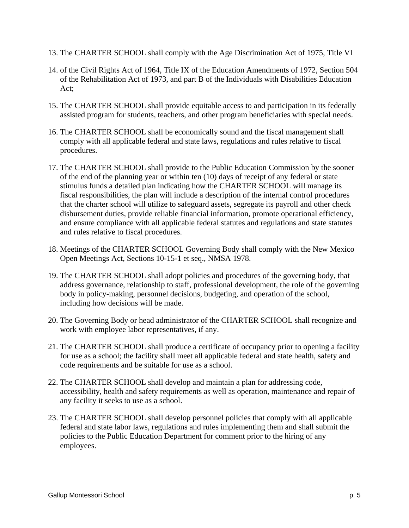- 13. The CHARTER SCHOOL shall comply with the Age Discrimination Act of 1975, Title VI
- 14. of the Civil Rights Act of 1964, Title IX of the Education Amendments of 1972, Section 504 of the Rehabilitation Act of 1973, and part B of the Individuals with Disabilities Education Act;
- 15. The CHARTER SCHOOL shall provide equitable access to and participation in its federally assisted program for students, teachers, and other program beneficiaries with special needs.
- 16. The CHARTER SCHOOL shall be economically sound and the fiscal management shall comply with all applicable federal and state laws, regulations and rules relative to fiscal procedures.
- 17. The CHARTER SCHOOL shall provide to the Public Education Commission by the sooner of the end of the planning year or within ten (10) days of receipt of any federal or state stimulus funds a detailed plan indicating how the CHARTER SCHOOL will manage its fiscal responsibilities, the plan will include a description of the internal control procedures that the charter school will utilize to safeguard assets, segregate its payroll and other check disbursement duties, provide reliable financial information, promote operational efficiency, and ensure compliance with all applicable federal statutes and regulations and state statutes and rules relative to fiscal procedures.
- 18. Meetings of the CHARTER SCHOOL Governing Body shall comply with the New Mexico Open Meetings Act, Sections 10-15-1 et seq., NMSA 1978.
- 19. The CHARTER SCHOOL shall adopt policies and procedures of the governing body, that address governance, relationship to staff, professional development, the role of the governing body in policy-making, personnel decisions, budgeting, and operation of the school, including how decisions will be made.
- 20. The Governing Body or head administrator of the CHARTER SCHOOL shall recognize and work with employee labor representatives, if any.
- 21. The CHARTER SCHOOL shall produce a certificate of occupancy prior to opening a facility for use as a school; the facility shall meet all applicable federal and state health, safety and code requirements and be suitable for use as a school.
- 22. The CHARTER SCHOOL shall develop and maintain a plan for addressing code, accessibility, health and safety requirements as well as operation, maintenance and repair of any facility it seeks to use as a school.
- 23. The CHARTER SCHOOL shall develop personnel policies that comply with all applicable federal and state labor laws, regulations and rules implementing them and shall submit the policies to the Public Education Department for comment prior to the hiring of any employees.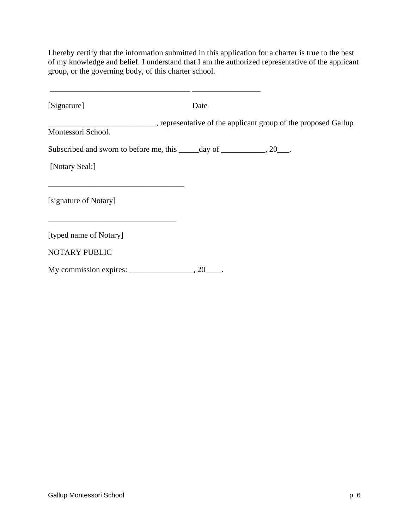I hereby certify that the information submitted in this application for a charter is true to the best of my knowledge and belief. I understand that I am the authorized representative of the applicant group, or the governing body, of this charter school.

| [Signature]                                                                | Date |  |
|----------------------------------------------------------------------------|------|--|
| Montessori School.                                                         |      |  |
| Subscribed and sworn to before me, this ______ day of ____________, 20___. |      |  |
| [Notary Seal:]                                                             |      |  |
| [signature of Notary]                                                      |      |  |
| [typed name of Notary]                                                     |      |  |
| <b>NOTARY PUBLIC</b>                                                       |      |  |
| My commission expires:                                                     | 20   |  |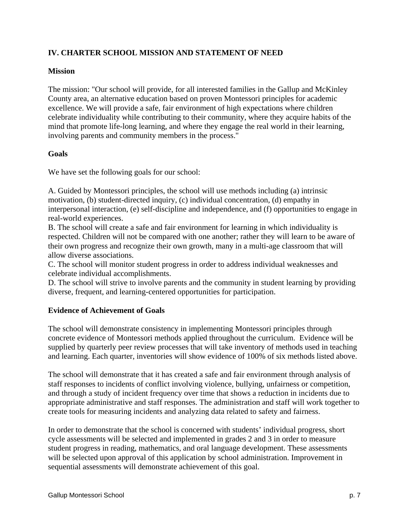## **IV. CHARTER SCHOOL MISSION AND STATEMENT OF NEED**

#### **Mission**

The mission: "Our school will provide, for all interested families in the Gallup and McKinley County area, an alternative education based on proven Montessori principles for academic excellence. We will provide a safe, fair environment of high expectations where children celebrate individuality while contributing to their community, where they acquire habits of the mind that promote life-long learning, and where they engage the real world in their learning, involving parents and community members in the process."

#### **Goals**

We have set the following goals for our school:

A. Guided by Montessori principles, the school will use methods including (a) intrinsic motivation, (b) student-directed inquiry, (c) individual concentration, (d) empathy in interpersonal interaction, (e) self-discipline and independence, and (f) opportunities to engage in real-world experiences.

B. The school will create a safe and fair environment for learning in which individuality is respected. Children will not be compared with one another; rather they will learn to be aware of their own progress and recognize their own growth, many in a multi-age classroom that will allow diverse associations.

C. The school will monitor student progress in order to address individual weaknesses and celebrate individual accomplishments.

D. The school will strive to involve parents and the community in student learning by providing diverse, frequent, and learning-centered opportunities for participation.

#### **Evidence of Achievement of Goals**

The school will demonstrate consistency in implementing Montessori principles through concrete evidence of Montessori methods applied throughout the curriculum. Evidence will be supplied by quarterly peer review processes that will take inventory of methods used in teaching and learning. Each quarter, inventories will show evidence of 100% of six methods listed above.

The school will demonstrate that it has created a safe and fair environment through analysis of staff responses to incidents of conflict involving violence, bullying, unfairness or competition, and through a study of incident frequency over time that shows a reduction in incidents due to appropriate administrative and staff responses. The administration and staff will work together to create tools for measuring incidents and analyzing data related to safety and fairness.

In order to demonstrate that the school is concerned with students' individual progress, short cycle assessments will be selected and implemented in grades 2 and 3 in order to measure student progress in reading, mathematics, and oral language development. These assessments will be selected upon approval of this application by school administration. Improvement in sequential assessments will demonstrate achievement of this goal.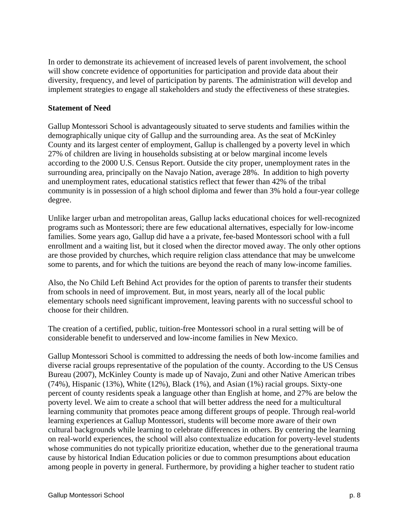In order to demonstrate its achievement of increased levels of parent involvement, the school will show concrete evidence of opportunities for participation and provide data about their diversity, frequency, and level of participation by parents. The administration will develop and implement strategies to engage all stakeholders and study the effectiveness of these strategies.

#### **Statement of Need**

Gallup Montessori School is advantageously situated to serve students and families within the demographically unique city of Gallup and the surrounding area. As the seat of McKinley County and its largest center of employment, Gallup is challenged by a poverty level in which 27% of children are living in households subsisting at or below marginal income levels according to the 2000 U.S. Census Report. Outside the city proper, unemployment rates in the surrounding area, principally on the Navajo Nation, average 28%. In addition to high poverty and unemployment rates, educational statistics reflect that fewer than 42% of the tribal community is in possession of a high school diploma and fewer than 3% hold a four-year college degree.

Unlike larger urban and metropolitan areas, Gallup lacks educational choices for well-recognized programs such as Montessori; there are few educational alternatives, especially for low-income families. Some years ago, Gallup did have a a private, fee-based Montessori school with a full enrollment and a waiting list, but it closed when the director moved away. The only other options are those provided by churches, which require religion class attendance that may be unwelcome some to parents, and for which the tuitions are beyond the reach of many low-income families.

Also, the No Child Left Behind Act provides for the option of parents to transfer their students from schools in need of improvement. But, in most years, nearly all of the local public elementary schools need significant improvement, leaving parents with no successful school to choose for their children.

The creation of a certified, public, tuition-free Montessori school in a rural setting will be of considerable benefit to underserved and low-income families in New Mexico.

Gallup Montessori School is committed to addressing the needs of both low-income families and diverse racial groups representative of the population of the county. According to the US Census Bureau (2007), McKinley County is made up of Navajo, Zuni and other Native American tribes (74%), Hispanic (13%), White (12%), Black (1%), and Asian (1%) racial groups. Sixty-one percent of county residents speak a language other than English at home, and 27% are below the poverty level. We aim to create a school that will better address the need for a multicultural learning community that promotes peace among different groups of people. Through real-world learning experiences at Gallup Montessori, students will become more aware of their own cultural backgrounds while learning to celebrate differences in others. By centering the learning on real-world experiences, the school will also contextualize education for poverty-level students whose communities do not typically prioritize education, whether due to the generational trauma cause by historical Indian Education policies or due to common presumptions about education among people in poverty in general. Furthermore, by providing a higher teacher to student ratio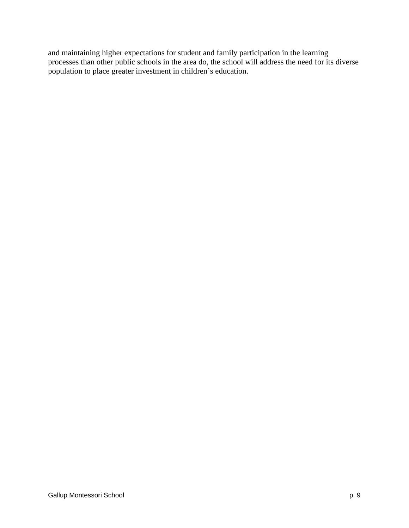and maintaining higher expectations for student and family participation in the learning processes than other public schools in the area do, the school will address the need for its diverse population to place greater investment in children's education.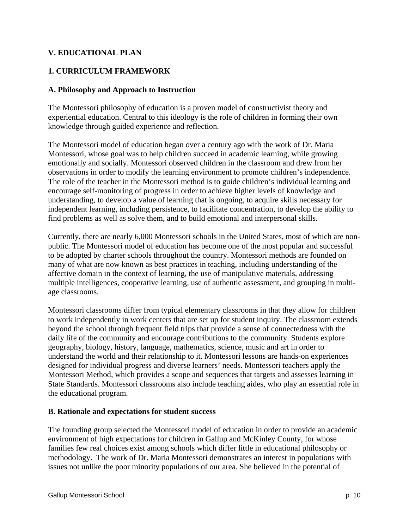## **V. EDUCATIONAL PLAN**

## **1. CURRICULUM FRAMEWORK**

#### **A. Philosophy and Approach to Instruction**

The Montessori philosophy of education is a proven model of constructivist theory and experiential education. Central to this ideology is the role of children in forming their own knowledge through guided experience and reflection.

The Montessori model of education began over a century ago with the work of Dr. Maria Montessori, whose goal was to help children succeed in academic learning, while growing emotionally and socially. Montessori observed children in the classroom and drew from her observations in order to modify the learning environment to promote children's independence. The role of the teacher in the Montessori method is to guide children's individual learning and encourage self-monitoring of progress in order to achieve higher levels of knowledge and understanding, to develop a value of learning that is ongoing, to acquire skills necessary for independent learning, including persistence, to facilitate concentration, to develop the ability to find problems as well as solve them, and to build emotional and interpersonal skills.

Currently, there are nearly 6,000 Montessori schools in the United States, most of which are nonpublic. The Montessori model of education has become one of the most popular and successful to be adopted by charter schools throughout the country. Montessori methods are founded on many of what are now known as best practices in teaching, including understanding of the affective domain in the context of learning, the use of manipulative materials, addressing multiple intelligences, cooperative learning, use of authentic assessment, and grouping in multiage classrooms.

Montessori classrooms differ from typical elementary classrooms in that they allow for children to work independently in work centers that are set up for student inquiry. The classroom extends beyond the school through frequent field trips that provide a sense of connectedness with the daily life of the community and encourage contributions to the community. Students explore geography, biology, history, language, mathematics, science, music and art in order to understand the world and their relationship to it. Montessori lessons are hands-on experiences designed for individual progress and diverse learners' needs. Montessori teachers apply the Montessori Method, which provides a scope and sequences that targets and assesses learning in State Standards. Montessori classrooms also include teaching aides, who play an essential role in the educational program.

#### **B. Rationale and expectations for student success**

The founding group selected the Montessori model of education in order to provide an academic environment of high expectations for children in Gallup and McKinley County, for whose families few real choices exist among schools which differ little in educational philosophy or methodology. The work of Dr. Maria Montessori demonstrates an interest in populations with issues not unlike the poor minority populations of our area. She believed in the potential of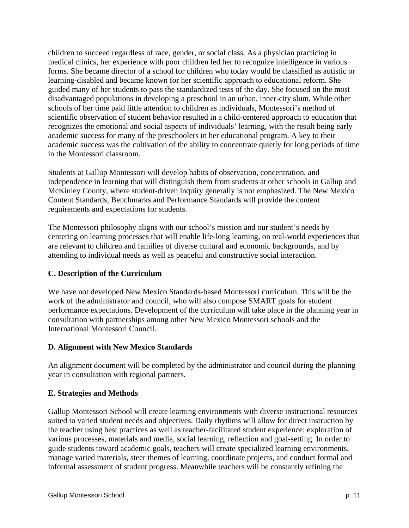children to succeed regardless of race, gender, or social class. As a physician practicing in medical clinics, her experience with poor children led her to recognize intelligence in various forms. She became director of a school for children who today would be classified as autistic or learning-disabled and became known for her scientific approach to educational reform. She guided many of her students to pass the standardized tests of the day. She focused on the most disadvantaged populations in developing a preschool in an urban, inner-city slum. While other schools of her time paid little attention to children as individuals, Montessori's method of scientific observation of student behavior resulted in a child-centered approach to education that recognizes the emotional and social aspects of individuals' learning, with the result being early academic success for many of the preschoolers in her educational program. A key to their academic success was the cultivation of the ability to concentrate quietly for long periods of time in the Montessori classroom.

Students at Gallup Montessori will develop habits of observation, concentration, and independence in learning that will distinguish them from students at other schools in Gallup and McKinley County, where student-driven inquiry generally is not emphasized. The New Mexico Content Standards, Benchmarks and Performance Standards will provide the content requirements and expectations for students.

The Montessori philosophy aligns with our school's mission and our student's needs by centering on learning processes that will enable life-long learning, on real-world experiences that are relevant to children and families of diverse cultural and economic backgrounds, and by attending to individual needs as well as peaceful and constructive social interaction.

### **C. Description of the Curriculum**

We have not developed New Mexico Standards-based Montessori curriculum. This will be the work of the administrator and council, who will also compose SMART goals for student performance expectations. Development of the curriculum will take place in the planning year in consultation with partnerships among other New Mexico Montessori schools and the International Montessori Council.

#### **D. Alignment with New Mexico Standards**

An alignment document will be completed by the administrator and council during the planning year in consultation with regional partners.

### **E. Strategies and Methods**

Gallup Montessori School will create learning environments with diverse instructional resources suited to varied student needs and objectives. Daily rhythms will allow for direct instruction by the teacher using best practices as well as teacher-facilitated student experience: exploration of various processes, materials and media, social learning, reflection and goal-setting. In order to guide students toward academic goals, teachers will create specialized learning environments, manage varied materials, steer themes of learning, coordinate projects, and conduct formal and informal assessment of student progress. Meanwhile teachers will be constantly refining the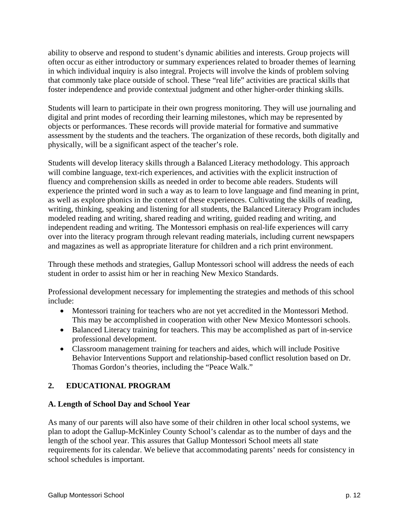ability to observe and respond to student's dynamic abilities and interests. Group projects will often occur as either introductory or summary experiences related to broader themes of learning in which individual inquiry is also integral. Projects will involve the kinds of problem solving that commonly take place outside of school. These "real life" activities are practical skills that foster independence and provide contextual judgment and other higher-order thinking skills.

Students will learn to participate in their own progress monitoring. They will use journaling and digital and print modes of recording their learning milestones, which may be represented by objects or performances. These records will provide material for formative and summative assessment by the students and the teachers. The organization of these records, both digitally and physically, will be a significant aspect of the teacher's role.

Students will develop literacy skills through a Balanced Literacy methodology. This approach will combine language, text-rich experiences, and activities with the explicit instruction of fluency and comprehension skills as needed in order to become able readers. Students will experience the printed word in such a way as to learn to love language and find meaning in print, as well as explore phonics in the context of these experiences. Cultivating the skills of reading, writing, thinking, speaking and listening for all students, the Balanced Literacy Program includes modeled reading and writing, shared reading and writing, guided reading and writing, and independent reading and writing. The Montessori emphasis on real-life experiences will carry over into the literacy program through relevant reading materials, including current newspapers and magazines as well as appropriate literature for children and a rich print environment.

Through these methods and strategies, Gallup Montessori school will address the needs of each student in order to assist him or her in reaching New Mexico Standards.

Professional development necessary for implementing the strategies and methods of this school include:

- Montessori training for teachers who are not yet accredited in the Montessori Method. This may be accomplished in cooperation with other New Mexico Montessori schools.
- Balanced Literacy training for teachers. This may be accomplished as part of in-service professional development.
- Classroom management training for teachers and aides, which will include Positive Behavior Interventions Support and relationship-based conflict resolution based on Dr. Thomas Gordon's theories, including the "Peace Walk."

## **2. EDUCATIONAL PROGRAM**

### **A. Length of School Day and School Year**

As many of our parents will also have some of their children in other local school systems, we plan to adopt the Gallup-McKinley County School's calendar as to the number of days and the length of the school year. This assures that Gallup Montessori School meets all state requirements for its calendar. We believe that accommodating parents' needs for consistency in school schedules is important.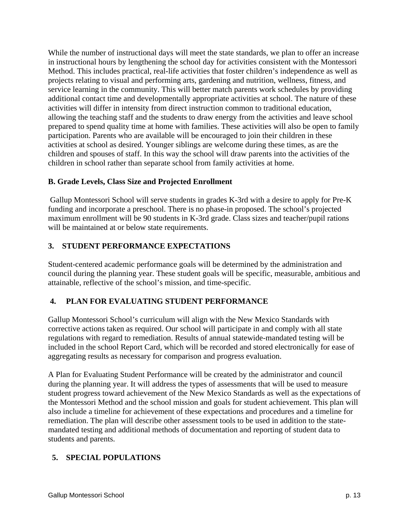While the number of instructional days will meet the state standards, we plan to offer an increase in instructional hours by lengthening the school day for activities consistent with the Montessori Method. This includes practical, real-life activities that foster children's independence as well as projects relating to visual and performing arts, gardening and nutrition, wellness, fitness, and service learning in the community. This will better match parents work schedules by providing additional contact time and developmentally appropriate activities at school. The nature of these activities will differ in intensity from direct instruction common to traditional education, allowing the teaching staff and the students to draw energy from the activities and leave school prepared to spend quality time at home with families. These activities will also be open to family participation. Parents who are available will be encouraged to join their children in these activities at school as desired. Younger siblings are welcome during these times, as are the children and spouses of staff. In this way the school will draw parents into the activities of the children in school rather than separate school from family activities at home.

## **B. Grade Levels, Class Size and Projected Enrollment**

 Gallup Montessori School will serve students in grades K-3rd with a desire to apply for Pre-K funding and incorporate a preschool. There is no phase-in proposed. The school's projected maximum enrollment will be 90 students in K-3rd grade. Class sizes and teacher/pupil rations will be maintained at or below state requirements.

## **3. STUDENT PERFORMANCE EXPECTATIONS**

Student-centered academic performance goals will be determined by the administration and council during the planning year. These student goals will be specific, measurable, ambitious and attainable, reflective of the school's mission, and time-specific.

## **4. PLAN FOR EVALUATING STUDENT PERFORMANCE**

Gallup Montessori School's curriculum will align with the New Mexico Standards with corrective actions taken as required. Our school will participate in and comply with all state regulations with regard to remediation. Results of annual statewide-mandated testing will be included in the school Report Card, which will be recorded and stored electronically for ease of aggregating results as necessary for comparison and progress evaluation.

A Plan for Evaluating Student Performance will be created by the administrator and council during the planning year. It will address the types of assessments that will be used to measure student progress toward achievement of the New Mexico Standards as well as the expectations of the Montessori Method and the school mission and goals for student achievement. This plan will also include a timeline for achievement of these expectations and procedures and a timeline for remediation. The plan will describe other assessment tools to be used in addition to the statemandated testing and additional methods of documentation and reporting of student data to students and parents.

## **5. SPECIAL POPULATIONS**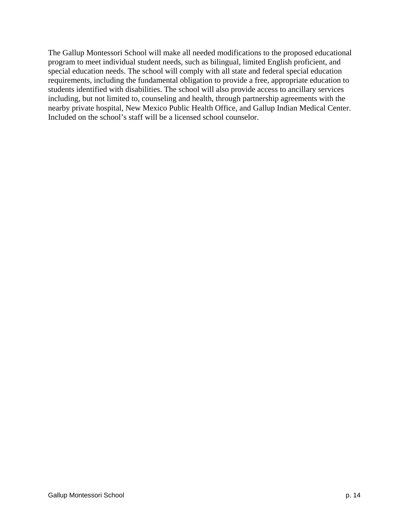The Gallup Montessori School will make all needed modifications to the proposed educational program to meet individual student needs, such as bilingual, limited English proficient, and special education needs. The school will comply with all state and federal special education requirements, including the fundamental obligation to provide a free, appropriate education to students identified with disabilities. The school will also provide access to ancillary services including, but not limited to, counseling and health, through partnership agreements with the nearby private hospital, New Mexico Public Health Office, and Gallup Indian Medical Center. Included on the school's staff will be a licensed school counselor.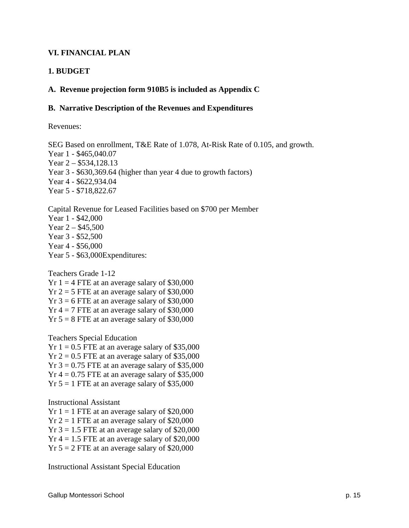### **VI. FINANCIAL PLAN**

## **1. BUDGET**

#### **A. Revenue projection form 910B5 is included as Appendix C**

#### **B. Narrative Description of the Revenues and Expenditures**

Revenues:

SEG Based on enrollment, T&E Rate of 1.078, At-Risk Rate of 0.105, and growth. Year 1 - \$465,040.07 Year 2 – \$534,128.13 Year 3 - \$630,369.64 (higher than year 4 due to growth factors) Year 4 - \$622,934.04 Year 5 - \$718,822.67

Capital Revenue for Leased Facilities based on \$700 per Member Year 1 - \$42,000 Year  $2 - $45,500$ Year 3 - \$52,500 Year 4 - \$56,000 Year 5 - \$63,000Expenditures:

Teachers Grade 1-12  $Yr 1 = 4$  FTE at an average salary of \$30,000  $Yr 2 = 5$  FTE at an average salary of \$30,000  $Yr$  3 = 6 FTE at an average salary of \$30,000  $Yr 4 = 7$  FTE at an average salary of \$30,000  $Yr 5 = 8$  FTE at an average salary of \$30,000

Teachers Special Education  $Yr 1 = 0.5$  FTE at an average salary of \$35,000

 $Yr 2 = 0.5$  FTE at an average salary of \$35,000  $Yr$  3 = 0.75 FTE at an average salary of \$35,000  $Yr$  4 = 0.75 FTE at an average salary of \$35,000  $Yr 5 = 1$  FTE at an average salary of \$35,000

Instructional Assistant

 $Yr 1 = 1$  FTE at an average salary of \$20,000  $Yr 2 = 1$  FTE at an average salary of \$20,000  $Yr$  3 = 1.5 FTE at an average salary of \$20,000  $Yr$  4 = 1.5 FTE at an average salary of \$20,000  $Yr 5 = 2$  FTE at an average salary of \$20,000

Instructional Assistant Special Education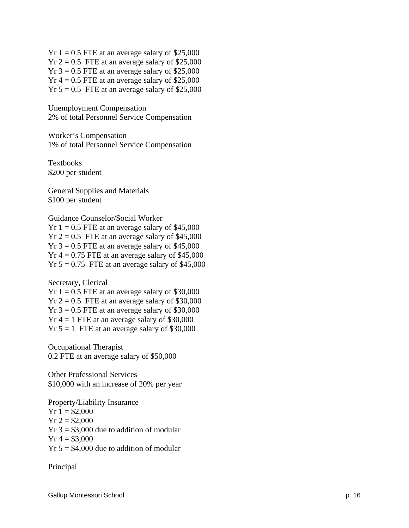$Yr 1 = 0.5$  FTE at an average salary of \$25,000  $Yr 2 = 0.5$  FTE at an average salary of \$25,000  $Yr$  3 = 0.5 FTE at an average salary of \$25,000  $Yr$  4 = 0.5 FTE at an average salary of \$25,000  $Yr 5 = 0.5$  FTE at an average salary of \$25,000

Unemployment Compensation 2% of total Personnel Service Compensation

Worker's Compensation 1% of total Personnel Service Compensation

Textbooks \$200 per student

General Supplies and Materials \$100 per student

Guidance Counselor/Social Worker  $Yr 1 = 0.5$  FTE at an average salary of \$45,000  $Yr 2 = 0.5$  FTE at an average salary of \$45,000  $Yr$  3 = 0.5 FTE at an average salary of \$45,000  $Yr$  4 = 0.75 FTE at an average salary of \$45,000  $Yr 5 = 0.75$  FTE at an average salary of \$45,000

Secretary, Clerical  $Yr 1 = 0.5$  FTE at an average salary of \$30,000  $Yr 2 = 0.5$  FTE at an average salary of \$30,000  $Yr$  3 = 0.5 FTE at an average salary of \$30,000  $Yr 4 = 1$  FTE at an average salary of \$30,000  $Yr 5 = 1$  FTE at an average salary of \$30,000

Occupational Therapist 0.2 FTE at an average salary of \$50,000

Other Professional Services \$10,000 with an increase of 20% per year

Property/Liability Insurance  $Yr 1 = $2,000$  $Yr 2 = $2,000$  $Yr$  3 = \$3,000 due to addition of modular  $Yr 4 = $3,000$  $Yr 5 = $4,000$  due to addition of modular

Principal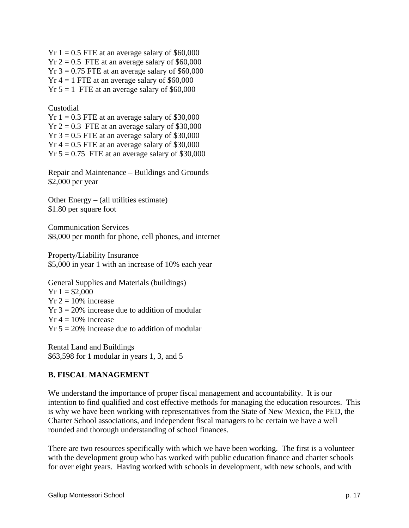$Yr 1 = 0.5$  FTE at an average salary of \$60,000  $Yr 2 = 0.5$  FTE at an average salary of \$60,000  $Yr$  3 = 0.75 FTE at an average salary of \$60,000  $Yr 4 = 1$  FTE at an average salary of \$60,000  $Yr 5 = 1$  FTE at an average salary of \$60,000

#### Custodial

 $Yr 1 = 0.3$  FTE at an average salary of \$30,000  $Yr 2 = 0.3$  FTE at an average salary of \$30,000  $Yr$  3 = 0.5 FTE at an average salary of \$30,000  $Yr$  4 = 0.5 FTE at an average salary of \$30,000  $Yr 5 = 0.75$  FTE at an average salary of \$30,000

Repair and Maintenance – Buildings and Grounds \$2,000 per year

Other Energy – (all utilities estimate) \$1.80 per square foot

Communication Services \$8,000 per month for phone, cell phones, and internet

Property/Liability Insurance \$5,000 in year 1 with an increase of 10% each year

General Supplies and Materials (buildings)  $Yr 1 = $2,000$  $Yr 2 = 10\%$  increase  $Yr$  3 = 20% increase due to addition of modular  $Yr 4 = 10\%$  increase  $Yr 5 = 20\%$  increase due to addition of modular

Rental Land and Buildings \$63,598 for 1 modular in years 1, 3, and 5

### **B. FISCAL MANAGEMENT**

We understand the importance of proper fiscal management and accountability. It is our intention to find qualified and cost effective methods for managing the education resources. This is why we have been working with representatives from the State of New Mexico, the PED, the Charter School associations, and independent fiscal managers to be certain we have a well rounded and thorough understanding of school finances.

There are two resources specifically with which we have been working. The first is a volunteer with the development group who has worked with public education finance and charter schools for over eight years. Having worked with schools in development, with new schools, and with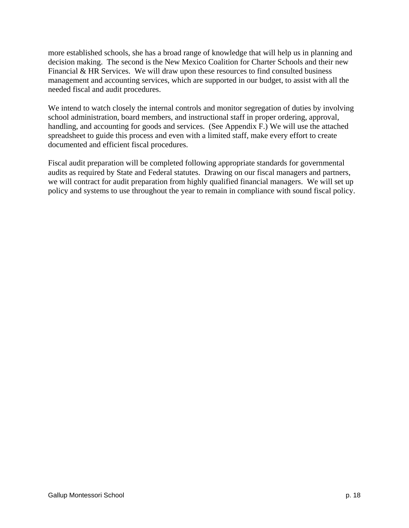more established schools, she has a broad range of knowledge that will help us in planning and decision making. The second is the New Mexico Coalition for Charter Schools and their new Financial & HR Services. We will draw upon these resources to find consulted business management and accounting services, which are supported in our budget, to assist with all the needed fiscal and audit procedures.

We intend to watch closely the internal controls and monitor segregation of duties by involving school administration, board members, and instructional staff in proper ordering, approval, handling, and accounting for goods and services. (See Appendix F.) We will use the attached spreadsheet to guide this process and even with a limited staff, make every effort to create documented and efficient fiscal procedures.

Fiscal audit preparation will be completed following appropriate standards for governmental audits as required by State and Federal statutes. Drawing on our fiscal managers and partners, we will contract for audit preparation from highly qualified financial managers. We will set up policy and systems to use throughout the year to remain in compliance with sound fiscal policy.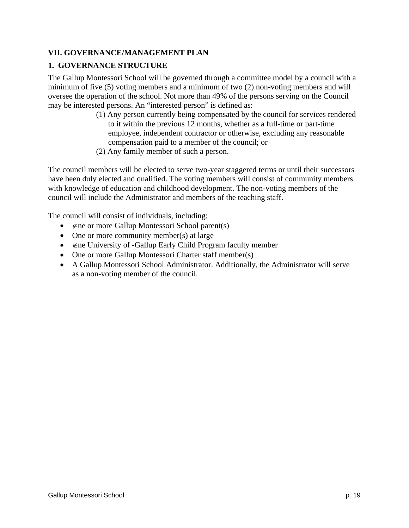## **VII. GOVERNANCE/MANAGEMENT PLAN**

## **1. GOVERNANCE STRUCTURE**

The Gallup Montessori School will be governed through a committee model by a council with a minimum of five (5) voting members and a minimum of two (2) non-voting members and will oversee the operation of the school. Not more than 49% of the persons serving on the Council may be interested persons. An "interested person" is defined as:

- (1) Any person currently being compensated by the council for services rendered to it within the previous 12 months, whether as a full-time or part-time employee, independent contractor or otherwise, excluding any reasonable compensation paid to a member of the council; or
- (2) Any family member of such a person.

The council members will be elected to serve two-year staggered terms or until their successors have been duly elected and qualified. The voting members will consist of community members with knowledge of education and childhood development. The non-voting members of the council will include the Administrator and members of the teaching staff.

The council will consist of individuals, including:

- ∉ne or more Gallup Montessori School parent(s)
- One or more community member(s) at large
- ∉ne University of -Gallup Early Child Program faculty member
- One or more Gallup Montessori Charter staff member(s)
- A Gallup Montessori School Administrator. Additionally, the Administrator will serve as a non-voting member of the council.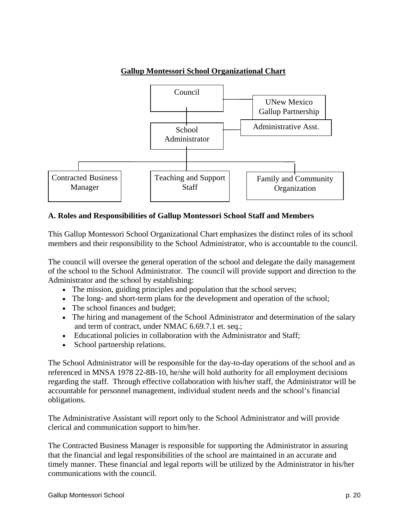

### **A. Roles and Responsibilities of Gallup Montessori School Staff and Members**

This Gallup Montessori School Organizational Chart emphasizes the distinct roles of its school members and their responsibility to the School Administrator, who is accountable to the council.

The council will oversee the general operation of the school and delegate the daily management of the school to the School Administrator. The council will provide support and direction to the Administrator and the school by establishing:

- The mission, guiding principles and population that the school serves;
- The long- and short-term plans for the development and operation of the school;
- The school finances and budget;
- The hiring and management of the School Administrator and determination of the salary and term of contract, under NMAC 6.69.7.1 et. seq.;
- Educational policies in collaboration with the Administrator and Staff;
- School partnership relations.

The School Administrator will be responsible for the day-to-day operations of the school and as referenced in MNSA 1978 22-8B-10, he/she will hold authority for all employment decisions regarding the staff. Through effective collaboration with his/her staff, the Administrator will be accountable for personnel management, individual student needs and the school's financial obligations.

The Administrative Assistant will report only to the School Administrator and will provide clerical and communication support to him/her.

The Contracted Business Manager is responsible for supporting the Administrator in assuring that the financial and legal responsibilities of the school are maintained in an accurate and timely manner. These financial and legal reports will be utilized by the Administrator in his/her communications with the council.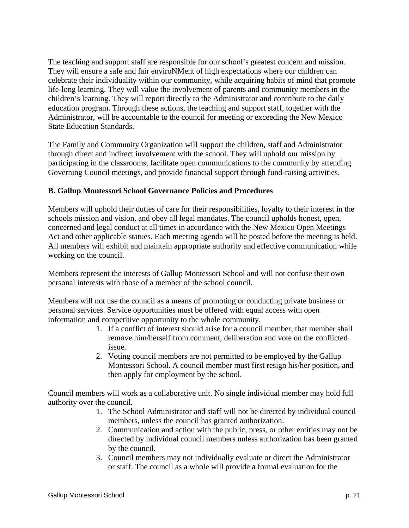The teaching and support staff are responsible for our school's greatest concern and mission. They will ensure a safe and fair enviroNMent of high expectations where our children can celebrate their individuality within our community, while acquiring habits of mind that promote life-long learning. They will value the involvement of parents and community members in the children's learning. They will report directly to the Administrator and contribute to the daily education program. Through these actions, the teaching and support staff, together with the Administrator, will be accountable to the council for meeting or exceeding the New Mexico State Education Standards.

The Family and Community Organization will support the children, staff and Administrator through direct and indirect involvement with the school. They will uphold our mission by participating in the classrooms, facilitate open communications to the community by attending Governing Council meetings, and provide financial support through fund-raising activities.

#### **B. Gallup Montessori School Governance Policies and Procedures**

Members will uphold their duties of care for their responsibilities, loyalty to their interest in the schools mission and vision, and obey all legal mandates. The council upholds honest, open, concerned and legal conduct at all times in accordance with the New Mexico Open Meetings Act and other applicable statues. Each meeting agenda will be posted before the meeting is held. All members will exhibit and maintain appropriate authority and effective communication while working on the council.

Members represent the interests of Gallup Montessori School and will not confuse their own personal interests with those of a member of the school council.

Members will not use the council as a means of promoting or conducting private business or personal services. Service opportunities must be offered with equal access with open information and competitive opportunity to the whole community.

- 1. If a conflict of interest should arise for a council member, that member shall remove him/herself from comment, deliberation and vote on the conflicted issue.
- 2. Voting council members are not permitted to be employed by the Gallup Montessori School. A council member must first resign his/her position, and then apply for employment by the school.

Council members will work as a collaborative unit. No single individual member may hold full authority over the council.

- 1. The School Administrator and staff will not be directed by individual council members, unless the council has granted authorization.
- 2. Communication and action with the public, press, or other entities may not be directed by individual council members unless authorization has been granted by the council.
- 3. Council members may not individually evaluate or direct the Administrator or staff. The council as a whole will provide a formal evaluation for the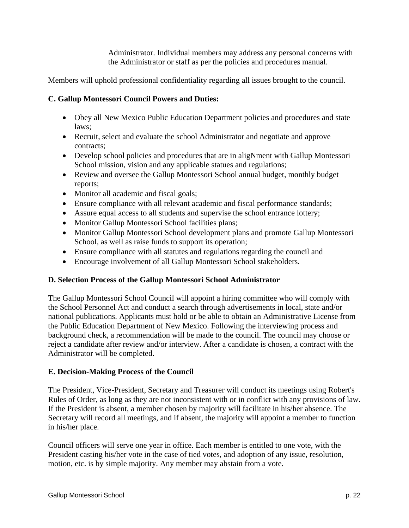Administrator. Individual members may address any personal concerns with the Administrator or staff as per the policies and procedures manual.

Members will uphold professional confidentiality regarding all issues brought to the council.

### **C. Gallup Montessori Council Powers and Duties:**

- Obey all New Mexico Public Education Department policies and procedures and state laws;
- Recruit, select and evaluate the school Administrator and negotiate and approve contracts;
- Develop school policies and procedures that are in aligNment with Gallup Montessori School mission, vision and any applicable statues and regulations;
- Review and oversee the Gallup Montessori School annual budget, monthly budget reports;
- Monitor all academic and fiscal goals;
- Ensure compliance with all relevant academic and fiscal performance standards;
- Assure equal access to all students and supervise the school entrance lottery;
- Monitor Gallup Montessori School facilities plans;
- Monitor Gallup Montessori School development plans and promote Gallup Montessori School, as well as raise funds to support its operation;
- Ensure compliance with all statutes and regulations regarding the council and
- Encourage involvement of all Gallup Montessori School stakeholders.

### **D. Selection Process of the Gallup Montessori School Administrator**

The Gallup Montessori School Council will appoint a hiring committee who will comply with the School Personnel Act and conduct a search through advertisements in local, state and/or national publications. Applicants must hold or be able to obtain an Administrative License from the Public Education Department of New Mexico. Following the interviewing process and background check, a recommendation will be made to the council. The council may choose or reject a candidate after review and/or interview. After a candidate is chosen, a contract with the Administrator will be completed.

### **E. Decision-Making Process of the Council**

The President, Vice-President, Secretary and Treasurer will conduct its meetings using Robert's Rules of Order, as long as they are not inconsistent with or in conflict with any provisions of law. If the President is absent, a member chosen by majority will facilitate in his/her absence. The Secretary will record all meetings, and if absent, the majority will appoint a member to function in his/her place.

Council officers will serve one year in office. Each member is entitled to one vote, with the President casting his/her vote in the case of tied votes, and adoption of any issue, resolution, motion, etc. is by simple majority. Any member may abstain from a vote.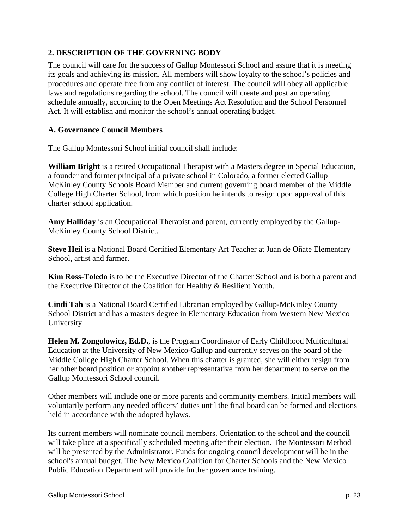## **2. DESCRIPTION OF THE GOVERNING BODY**

The council will care for the success of Gallup Montessori School and assure that it is meeting its goals and achieving its mission. All members will show loyalty to the school's policies and procedures and operate free from any conflict of interest. The council will obey all applicable laws and regulations regarding the school. The council will create and post an operating schedule annually, according to the Open Meetings Act Resolution and the School Personnel Act. It will establish and monitor the school's annual operating budget.

### **A. Governance Council Members**

The Gallup Montessori School initial council shall include:

**William Bright** is a retired Occupational Therapist with a Masters degree in Special Education, a founder and former principal of a private school in Colorado, a former elected Gallup McKinley County Schools Board Member and current governing board member of the Middle College High Charter School, from which position he intends to resign upon approval of this charter school application.

**Amy Halliday** is an Occupational Therapist and parent, currently employed by the Gallup-McKinley County School District.

**Steve Heil** is a National Board Certified Elementary Art Teacher at Juan de Oñate Elementary School, artist and farmer.

**Kim Ross-Toledo** is to be the Executive Director of the Charter School and is both a parent and the Executive Director of the Coalition for Healthy & Resilient Youth.

**Cindi Tah** is a National Board Certified Librarian employed by Gallup-McKinley County School District and has a masters degree in Elementary Education from Western New Mexico University.

**Helen M. Zongolowicz, Ed.D.**, is the Program Coordinator of Early Childhood Multicultural Education at the University of New Mexico-Gallup and currently serves on the board of the Middle College High Charter School. When this charter is granted, she will either resign from her other board position or appoint another representative from her department to serve on the Gallup Montessori School council.

Other members will include one or more parents and community members. Initial members will voluntarily perform any needed officers' duties until the final board can be formed and elections held in accordance with the adopted bylaws.

Its current members will nominate council members. Orientation to the school and the council will take place at a specifically scheduled meeting after their election. The Montessori Method will be presented by the Administrator. Funds for ongoing council development will be in the school's annual budget. The New Mexico Coalition for Charter Schools and the New Mexico Public Education Department will provide further governance training.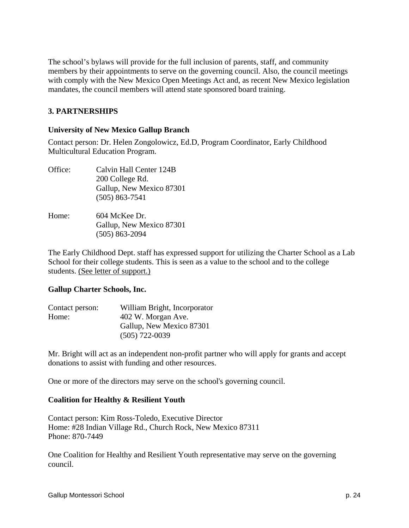The school's bylaws will provide for the full inclusion of parents, staff, and community members by their appointments to serve on the governing council. Also, the council meetings with comply with the New Mexico Open Meetings Act and, as recent New Mexico legislation mandates, the council members will attend state sponsored board training.

#### **3. PARTNERSHIPS**

#### **University of New Mexico Gallup Branch**

Contact person: Dr. Helen Zongolowicz, Ed.D, Program Coordinator, Early Childhood Multicultural Education Program.

Office: Calvin Hall Center 124B 200 College Rd. Gallup, New Mexico 87301 (505) 863-7541 Home: 604 McKee Dr. Gallup, New Mexico 87301 (505) 863-2094

The Early Childhood Dept. staff has expressed support for utilizing the Charter School as a Lab School for their college students. This is seen as a value to the school and to the college students. (See letter of support.)

#### **Gallup Charter Schools, Inc.**

| Contact person: | William Bright, Incorporator |  |
|-----------------|------------------------------|--|
| Home:           | 402 W. Morgan Ave.           |  |
|                 | Gallup, New Mexico 87301     |  |
|                 | $(505)$ 722-0039             |  |

Mr. Bright will act as an independent non-profit partner who will apply for grants and accept donations to assist with funding and other resources.

One or more of the directors may serve on the school's governing council.

#### **Coalition for Healthy & Resilient Youth**

Contact person: Kim Ross-Toledo, Executive Director Home: #28 Indian Village Rd., Church Rock, New Mexico 87311 Phone: 870-7449

One Coalition for Healthy and Resilient Youth representative may serve on the governing council.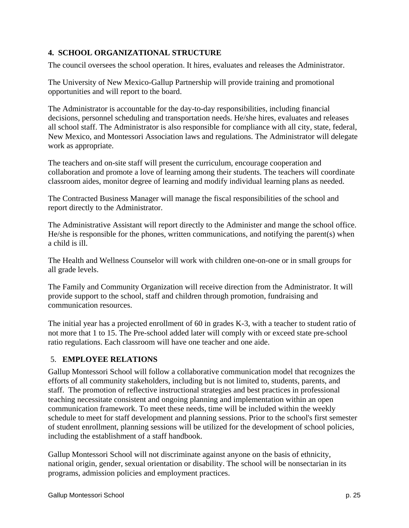## **4. SCHOOL ORGANIZATIONAL STRUCTURE**

The council oversees the school operation. It hires, evaluates and releases the Administrator.

The University of New Mexico-Gallup Partnership will provide training and promotional opportunities and will report to the board.

The Administrator is accountable for the day-to-day responsibilities, including financial decisions, personnel scheduling and transportation needs. He/she hires, evaluates and releases all school staff. The Administrator is also responsible for compliance with all city, state, federal, New Mexico, and Montessori Association laws and regulations. The Administrator will delegate work as appropriate.

The teachers and on-site staff will present the curriculum, encourage cooperation and collaboration and promote a love of learning among their students. The teachers will coordinate classroom aides, monitor degree of learning and modify individual learning plans as needed.

The Contracted Business Manager will manage the fiscal responsibilities of the school and report directly to the Administrator.

The Administrative Assistant will report directly to the Administer and mange the school office. He/she is responsible for the phones, written communications, and notifying the parent(s) when a child is ill.

The Health and Wellness Counselor will work with children one-on-one or in small groups for all grade levels.

The Family and Community Organization will receive direction from the Administrator. It will provide support to the school, staff and children through promotion, fundraising and communication resources.

The initial year has a projected enrollment of 60 in grades K-3, with a teacher to student ratio of not more that 1 to 15. The Pre-school added later will comply with or exceed state pre-school ratio regulations. Each classroom will have one teacher and one aide.

## 5. **EMPLOYEE RELATIONS**

Gallup Montessori School will follow a collaborative communication model that recognizes the efforts of all community stakeholders, including but is not limited to, students, parents, and staff. The promotion of reflective instructional strategies and best practices in professional teaching necessitate consistent and ongoing planning and implementation within an open communication framework. To meet these needs, time will be included within the weekly schedule to meet for staff development and planning sessions. Prior to the school's first semester of student enrollment, planning sessions will be utilized for the development of school policies, including the establishment of a staff handbook.

Gallup Montessori School will not discriminate against anyone on the basis of ethnicity, national origin, gender, sexual orientation or disability. The school will be nonsectarian in its programs, admission policies and employment practices.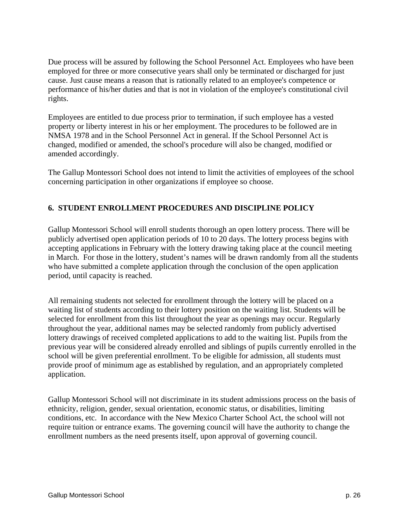Due process will be assured by following the School Personnel Act. Employees who have been employed for three or more consecutive years shall only be terminated or discharged for just cause. Just cause means a reason that is rationally related to an employee's competence or performance of his/her duties and that is not in violation of the employee's constitutional civil rights.

Employees are entitled to due process prior to termination, if such employee has a vested property or liberty interest in his or her employment. The procedures to be followed are in NMSA 1978 and in the School Personnel Act in general. If the School Personnel Act is changed, modified or amended, the school's procedure will also be changed, modified or amended accordingly.

The Gallup Montessori School does not intend to limit the activities of employees of the school concerning participation in other organizations if employee so choose.

## **6. STUDENT ENROLLMENT PROCEDURES AND DISCIPLINE POLICY**

Gallup Montessori School will enroll students thorough an open lottery process. There will be publicly advertised open application periods of 10 to 20 days. The lottery process begins with accepting applications in February with the lottery drawing taking place at the council meeting in March. For those in the lottery, student's names will be drawn randomly from all the students who have submitted a complete application through the conclusion of the open application period, until capacity is reached.

All remaining students not selected for enrollment through the lottery will be placed on a waiting list of students according to their lottery position on the waiting list. Students will be selected for enrollment from this list throughout the year as openings may occur. Regularly throughout the year, additional names may be selected randomly from publicly advertised lottery drawings of received completed applications to add to the waiting list. Pupils from the previous year will be considered already enrolled and siblings of pupils currently enrolled in the school will be given preferential enrollment. To be eligible for admission, all students must provide proof of minimum age as established by regulation, and an appropriately completed application.

Gallup Montessori School will not discriminate in its student admissions process on the basis of ethnicity, religion, gender, sexual orientation, economic status, or disabilities, limiting conditions, etc. In accordance with the New Mexico Charter School Act, the school will not require tuition or entrance exams. The governing council will have the authority to change the enrollment numbers as the need presents itself, upon approval of governing council.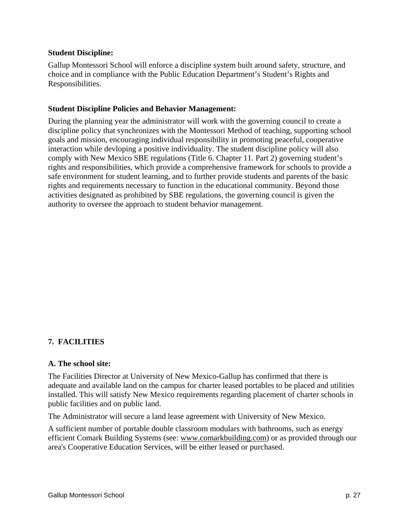#### **Student Discipline:**

Gallup Montessori School will enforce a discipline system built around safety, structure, and choice and in compliance with the Public Education Department's Student's Rights and Responsibilities.

#### **Student Discipline Policies and Behavior Management:**

During the planning year the administrator will work with the governing council to create a discipline policy that synchronizes with the Montessori Method of teaching, supporting school goals and mission, encouraging individual responsibility in promoting peaceful, cooperative interaction while devloping a positive individuality. The student discipline policy will also comply with New Mexico SBE regulations (Title 6. Chapter 11. Part 2) governing student's rights and responsibilities, which provide a comprehensive framework for schools to provide a safe environment for student learning, and to further provide students and parents of the basic rights and requirements necessary to function in the educational community. Beyond those activities designated as prohibited by SBE regulations, the governing council is given the authority to oversee the approach to student behavior management.

## **7. FACILITIES**

#### **A. The school site:**

The Facilities Director at University of New Mexico-Gallup has confirmed that there is adequate and available land on the campus for charter leased portables to be placed and utilities installed. This will satisfy New Mexico requirements regarding placement of charter schools in public facilities and on public land.

The Administrator will secure a land lease agreement with University of New Mexico.

A sufficient number of portable double classroom modulars with bathrooms, such as energy efficient Comark Building Systems (see: www.comarkbuilding.com) or as provided through our area's Cooperative Education Services, will be either leased or purchased.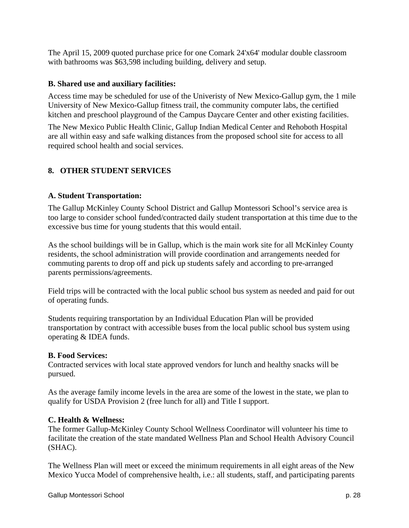The April 15, 2009 quoted purchase price for one Comark 24'x64' modular double classroom with bathrooms was \$63,598 including building, delivery and setup.

### **B. Shared use and auxiliary facilities:**

Access time may be scheduled for use of the Univeristy of New Mexico-Gallup gym, the 1 mile University of New Mexico-Gallup fitness trail, the community computer labs, the certified kitchen and preschool playground of the Campus Daycare Center and other existing facilities.

The New Mexico Public Health Clinic, Gallup Indian Medical Center and Rehoboth Hospital are all within easy and safe walking distances from the proposed school site for access to all required school health and social services.

# **8. OTHER STUDENT SERVICES**

### **A. Student Transportation:**

The Gallup McKinley County School District and Gallup Montessori School's service area is too large to consider school funded/contracted daily student transportation at this time due to the excessive bus time for young students that this would entail.

As the school buildings will be in Gallup, which is the main work site for all McKinley County residents, the school administration will provide coordination and arrangements needed for commuting parents to drop off and pick up students safely and according to pre-arranged parents permissions/agreements.

Field trips will be contracted with the local public school bus system as needed and paid for out of operating funds.

Students requiring transportation by an Individual Education Plan will be provided transportation by contract with accessible buses from the local public school bus system using operating & IDEA funds.

### **B. Food Services:**

Contracted services with local state approved vendors for lunch and healthy snacks will be pursued.

As the average family income levels in the area are some of the lowest in the state, we plan to qualify for USDA Provision 2 (free lunch for all) and Title I support.

### **C. Health & Wellness:**

The former Gallup-McKinley County School Wellness Coordinator will volunteer his time to facilitate the creation of the state mandated Wellness Plan and School Health Advisory Council (SHAC).

The Wellness Plan will meet or exceed the minimum requirements in all eight areas of the New Mexico Yucca Model of comprehensive health, i.e.: all students, staff, and participating parents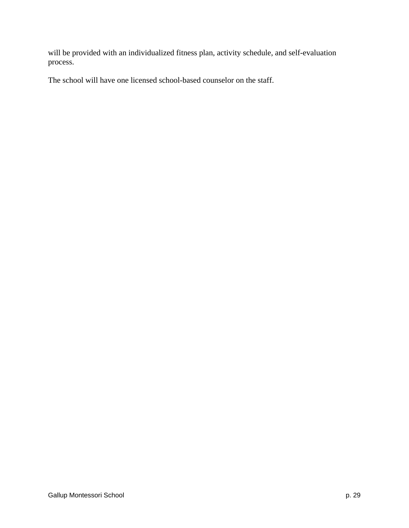will be provided with an individualized fitness plan, activity schedule, and self-evaluation process.

The school will have one licensed school-based counselor on the staff.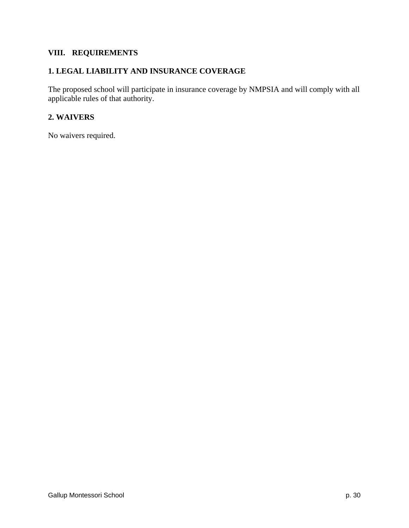## **VIII. REQUIREMENTS**

## **1. LEGAL LIABILITY AND INSURANCE COVERAGE**

The proposed school will participate in insurance coverage by NMPSIA and will comply with all applicable rules of that authority.

#### **2. WAIVERS**

No waivers required.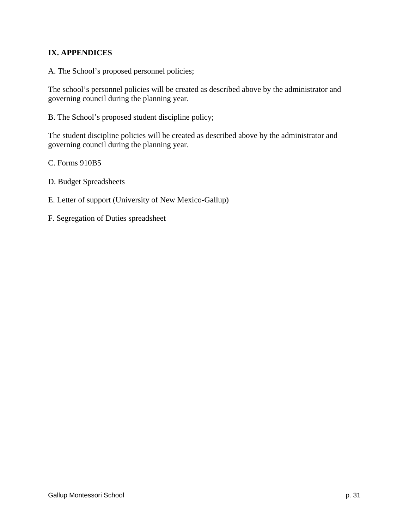## **IX. APPENDICES**

A. The School's proposed personnel policies;

The school's personnel policies will be created as described above by the administrator and governing council during the planning year.

B. The School's proposed student discipline policy;

The student discipline policies will be created as described above by the administrator and governing council during the planning year.

C. Forms 910B5

- D. Budget Spreadsheets
- E. Letter of support (University of New Mexico-Gallup)
- F. Segregation of Duties spreadsheet